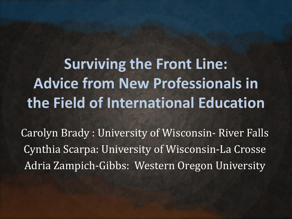**Surviving the Front Line: Advice from New Professionals in the Field of International Education**

Carolyn Brady : University of Wisconsin- River Falls Cynthia Scarpa: University of Wisconsin-La Crosse Adria Zampich-Gibbs: Western Oregon University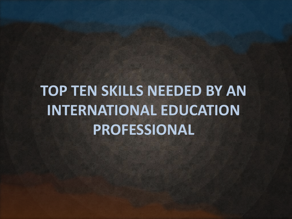## **TOP TEN SKILLS NEEDED BY AN INTERNATIONAL EDUCATION PROFESSIONAL**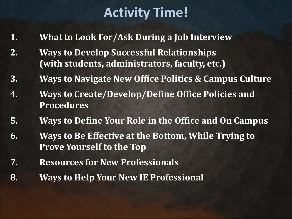### **Activity Time!**

- **1. What to Look For/Ask During a Job Interview**
- **2. Ways to Develop Successful Relationships (with students, administrators, faculty, etc.)**
- **3. Ways to Navigate New Office Politics & Campus Culture**
- **4. Ways to Create/Develop/Define Office Policies and Procedures**
- **5. Ways to Define Your Role in the Office and On Campus**
- **6. Ways to Be Effective at the Bottom, While Trying to Prove Yourself to the Top**
- **7. Resources for New Professionals**
- **8. Ways to Help Your New IE Professional**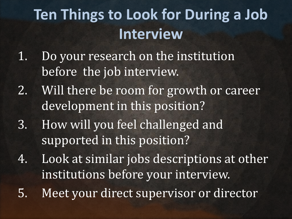# **Ten Things to Look for During a Job Interview**

- 1. Do your research on the institution before the job interview.
- 2. Will there be room for growth or career development in this position?
- 3. How will you feel challenged and supported in this position?
- 4. Look at similar jobs descriptions at other institutions before your interview.
- 5. Meet your direct supervisor or director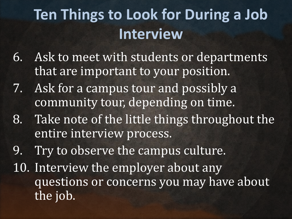# **Ten Things to Look for During a Job Interview**

- 6. Ask to meet with students or departments that are important to your position.
- 7. Ask for a campus tour and possibly a community tour, depending on time.
- 8. Take note of the little things throughout the entire interview process.
- 9. Try to observe the campus culture.
- 10. Interview the employer about any questions or concerns you may have about the job.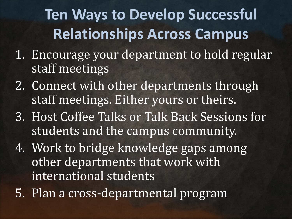# **Ten Ways to Develop Successful Relationships Across Campus**

- 1. Encourage your department to hold regular staff meetings
- 2. Connect with other departments through staff meetings. Either yours or theirs.
- 3. Host Coffee Talks or Talk Back Sessions for students and the campus community.
- 4. Work to bridge knowledge gaps among other departments that work with international students
- 5. Plan a cross-departmental program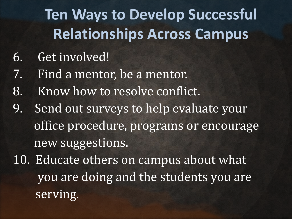# **Ten Ways to Develop Successful Relationships Across Campus**

- 6. Get involved!
- 7. Find a mentor, be a mentor.
- 8. Know how to resolve conflict.
- 9. Send out surveys to help evaluate your office procedure, programs or encourage new suggestions.
- 10. Educate others on campus about what you are doing and the students you are serving.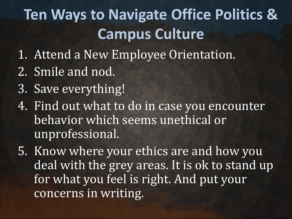# **Ten Ways to Navigate Office Politics & Campus Culture**

- 1. Attend a New Employee Orientation.
- 2. Smile and nod.
- 3. Save everything!
- 4. Find out what to do in case you encounter behavior which seems unethical or unprofessional.
- 5. Know where your ethics are and how you deal with the grey areas. It is ok to stand up for what you feel is right. And put your concerns in writing.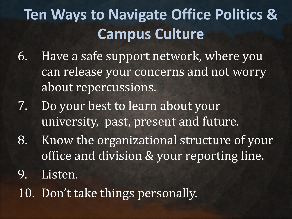# **Ten Ways to Navigate Office Politics & Campus Culture**

- 6. Have a safe support network, where you can release your concerns and not worry about repercussions.
- 7. Do your best to learn about your university, past, present and future.
- 8. Know the organizational structure of your office and division & your reporting line.
- 9. Listen.
- 10. Don't take things personally.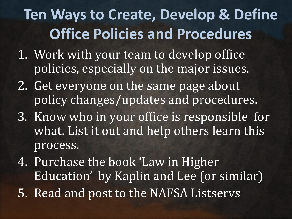## **Ten Ways to Create, Develop & Define Office Policies and Procedures**

- 1. Work with your team to develop office policies, especially on the major issues.
- 2. Get everyone on the same page about policy changes/updates and procedures.
- 3. Know who in your office is responsible for what. List it out and help others learn this process.
- 4. Purchase the book 'Law in Higher Education' by Kaplin and Lee (or similar) 5. Read and post to the NAFSA Listservs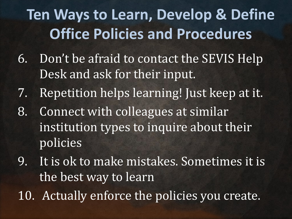# **Ten Ways to Learn, Develop & Define Office Policies and Procedures**

- 6. Don't be afraid to contact the SEVIS Help Desk and ask for their input.
- 7. Repetition helps learning! Just keep at it.
- 8. Connect with colleagues at similar institution types to inquire about their policies
- 9. It is ok to make mistakes. Sometimes it is the best way to learn
- 10. Actually enforce the policies you create.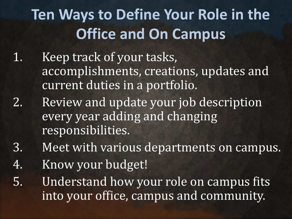# **Ten Ways to Define Your Role in the Office and On Campus**

- 1. Keep track of your tasks, accomplishments, creations, updates and current duties in a portfolio.
- 2. Review and update your job description every year adding and changing responsibilities.
- 3. Meet with various departments on campus.
- 4. Know your budget!
- 5. Understand how your role on campus fits into your office, campus and community.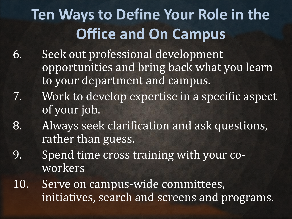# **Ten Ways to Define Your Role in the Office and On Campus**

- 6. Seek out professional development opportunities and bring back what you learn to your department and campus.
- 7. Work to develop expertise in a specific aspect of your job.
- 8. Always seek clarification and ask questions, rather than guess.
- 9. Spend time cross training with your coworkers
- 10. Serve on campus-wide committees, initiatives, search and screens and programs.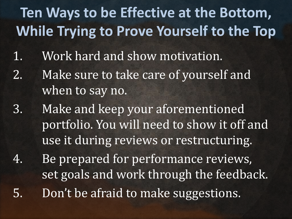## **Ten Ways to be Effective at the Bottom, While Trying to Prove Yourself to the Top**

- 1. Work hard and show motivation.
- 2. Make sure to take care of yourself and when to say no.
- 3. Make and keep your aforementioned portfolio. You will need to show it off and use it during reviews or restructuring.
- 4. Be prepared for performance reviews, set goals and work through the feedback. 5. Don't be afraid to make suggestions.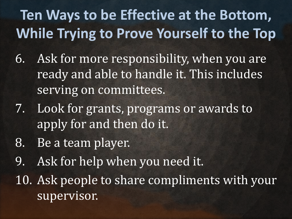## **Ten Ways to be Effective at the Bottom, While Trying to Prove Yourself to the Top**

- 6. Ask for more responsibility, when you are ready and able to handle it. This includes serving on committees.
- 7. Look for grants, programs or awards to apply for and then do it.
- 8. Be a team player.
- 9. Ask for help when you need it.
- 10. Ask people to share compliments with your supervisor.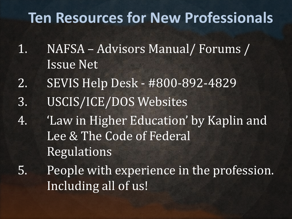## **Ten Resources for New Professionals**

- 1. NAFSA Advisors Manual/ Forums / Issue Net
- 2. SEVIS Help Desk #800-892-4829
- 3. USCIS/ICE/DOS Websites
- 4. 'Law in Higher Education' by Kaplin and Lee & The Code of Federal Regulations
- 5. People with experience in the profession. Including all of us!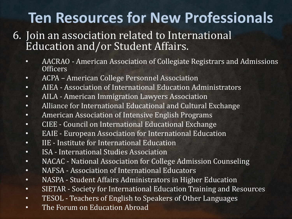## **Ten Resources for New Professionals**

- 6. Join an association related to International Education and/or Student Affairs.
	- AACRAO American Association of Collegiate Registrars and Admissions Officers
	- ACPA American College Personnel Association
	- AIEA Association of International Education Administrators
	- AILA American Immigration Lawyers Association
	- Alliance for International Educational and Cultural Exchange
	- American Association of Intensive English Programs
	- CIEE Council on International Educational Exchange
	- EAIE European Association for International Education
	- IIE Institute for International Education
	- ISA International Studies Association
	- NACAC National Association for College Admission Counseling
	- NAFSA Association of International Educators
	- NASPA Student Affairs Administrators in Higher Education
	- SIETAR Society for International Education Training and Resources
	- TESOL Teachers of English to Speakers of Other Languages
	- The Forum on Education Abroad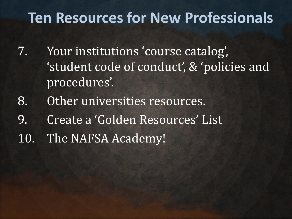## **Ten Resources for New Professionals**

- 7. Your institutions 'course catalog', 'student code of conduct', & 'policies and procedures'.
- 8. Other universities resources.
- 9. Create a 'Golden Resources' List
- 10. The NAFSA Academy!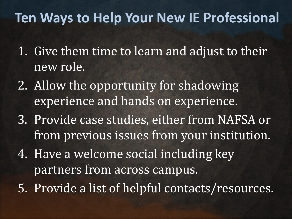### **Ten Ways to Help Your New IE Professional**

- 1. Give them time to learn and adjust to their new role.
- 2. Allow the opportunity for shadowing experience and hands on experience.
- 3. Provide case studies, either from NAFSA or from previous issues from your institution.
- 4. Have a welcome social including key partners from across campus.
- 5. Provide a list of helpful contacts/resources.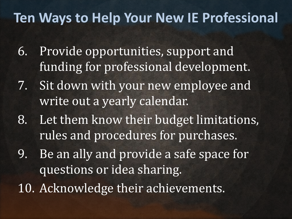### **Ten Ways to Help Your New IE Professional**

- 6. Provide opportunities, support and funding for professional development.
- 7. Sit down with your new employee and write out a yearly calendar.
- 8. Let them know their budget limitations, rules and procedures for purchases.
- 9. Be an ally and provide a safe space for questions or idea sharing.
- 10. Acknowledge their achievements.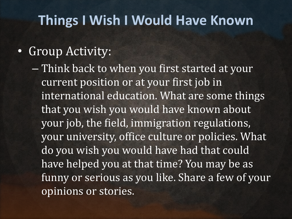#### **Things I Wish I Would Have Known**

#### • Group Activity:

– Think back to when you first started at your current position or at your first job in international education. What are some things that you wish you would have known about your job, the field, immigration regulations, your university, office culture or policies. What do you wish you would have had that could have helped you at that time? You may be as funny or serious as you like. Share a few of your opinions or stories.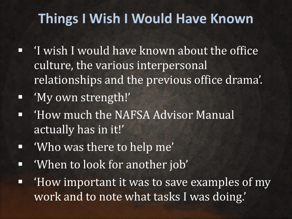### **Things I Wish I Would Have Known**

- 'I wish I would have known about the office culture, the various interpersonal relationships and the previous office drama'.
- 'My own strength!'
- 'How much the NAFSA Advisor Manual actually has in it!'
- 'Who was there to help me'
- 'When to look for another job'
- 'How important it was to save examples of my work and to note what tasks I was doing.'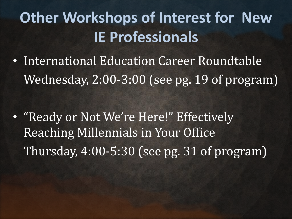## **Other Workshops of Interest for New IE Professionals**

• International Education Career Roundtable Wednesday, 2:00-3:00 (see pg. 19 of program)

• "Ready or Not We're Here!" Effectively Reaching Millennials in Your Office Thursday, 4:00-5:30 (see pg. 31 of program)